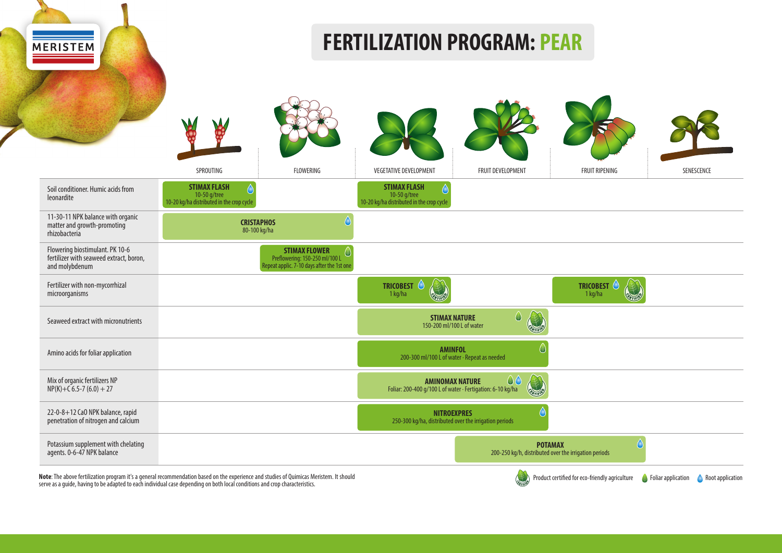

**Note**: The above fertilization program it's a general recommendation based on the experience and studies of Quimicas Meristem. It should Note: The above fertilization program it's a general recommendation based on the experience and studies of Quimicas Meristem. It should<br>serve as a guide, having to be adapted to each individual case depending on both local